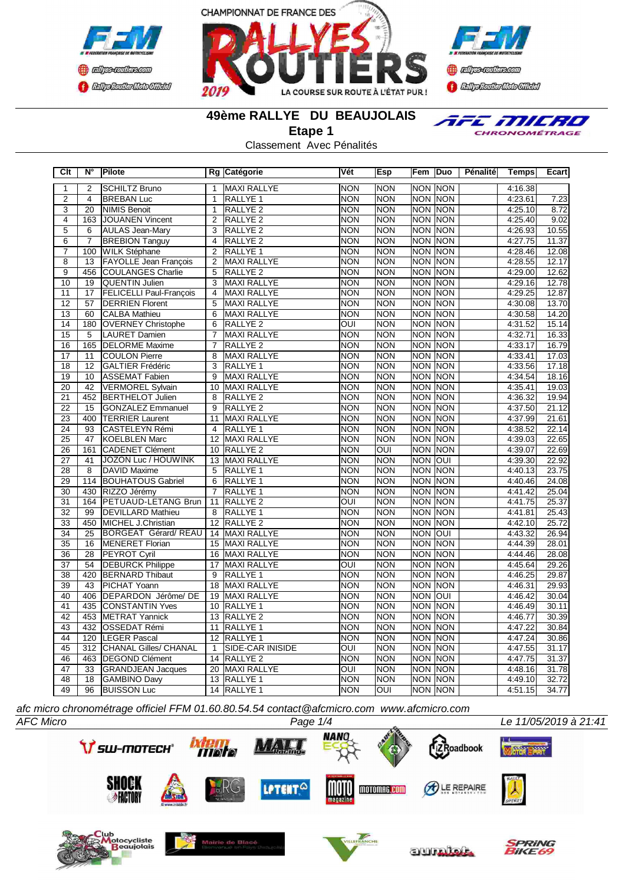





TFE MILRO CHRONOMÉTRAGE

**49ème RALLYE DU BEAUJOLAIS**

**Etape 1**

Classement Avec Pénalités

| Clt             | N°              | Pilote                         |                         | Rg Catégorie            | Vét                     | Esp                     | Fem            | Duo            | Pénalité | <b>Temps</b> | Ecart |
|-----------------|-----------------|--------------------------------|-------------------------|-------------------------|-------------------------|-------------------------|----------------|----------------|----------|--------------|-------|
| 1               | 2               | <b>SCHILTZ Bruno</b>           | 1                       | <b>MAXI RALLYE</b>      | <b>NON</b>              | <b>NON</b>              | <b>NON NON</b> |                |          | 4:16.38      |       |
| $\overline{2}$  | $\overline{4}$  | <b>BREBAN Luc</b>              | $\mathbf{1}$            | RALLYE <sub>1</sub>     | <b>NON</b>              | <b>NON</b>              | <b>NON NON</b> |                |          | 4:23.61      | 7.23  |
| $\overline{3}$  | 20              | <b>NIMIS Benoit</b>            | 1                       | <b>RALLYE 2</b>         | <b>NON</b>              | <b>NON</b>              | NON NON        |                |          | 4:25.10      | 8.72  |
| $\overline{4}$  | 163             | JOUANEN Vincent                | 2                       | RALLYE <sub>2</sub>     | <b>NON</b>              | <b>NON</b>              | <b>NON NON</b> |                |          | 4:25.40      | 9.02  |
| $\overline{5}$  | 6               | <b>AULAS Jean-Mary</b>         | 3                       | RALLYE <sub>2</sub>     | <b>NON</b>              | <b>NON</b>              | <b>NON NON</b> |                |          | 4:26.93      | 10.55 |
| 6               | $\overline{7}$  | <b>BREBION Tanguy</b>          | $\overline{\mathbf{4}}$ | RALLYE <sub>2</sub>     | <b>NON</b>              | <b>NON</b>              |                | <b>NON NON</b> |          | 4:27.75      | 11.37 |
| $\overline{7}$  | 100             | <b>WILK Stéphane</b>           | 2                       | RALLYE 1                | NON                     | <b>NON</b>              | <b>NON NON</b> |                |          | 4:28.46      | 12.08 |
| $\overline{8}$  | $\overline{13}$ | <b>FAYOLLE Jean François</b>   | $\overline{2}$          | <b>MAXI RALLYE</b>      | <b>NON</b>              | <b>NON</b>              | <b>NON NON</b> |                |          | 4:28.55      | 12.17 |
| $\overline{9}$  | 456             | COULANGES Charlie              | 5                       | RALLYE <sub>2</sub>     | <b>NON</b>              | <b>NON</b>              | <b>NON NON</b> |                |          | 4:29.00      | 12.62 |
| 10              | 19              | QUENTIN Julien                 | 3                       | <b>MAXI RALLYE</b>      | <b>NON</b>              | <b>NON</b>              | <b>NON</b>     | <b>NON</b>     |          | 4:29.16      | 12.78 |
| 11              | 17              | <b>FELICELLI Paul-François</b> | 4                       | <b>MAXI RALLYE</b>      | <b>NON</b>              | <b>NON</b>              | <b>NON</b>     | <b>NON</b>     |          | 4:29.25      | 12.87 |
| 12              | 57              | <b>DERRIEN Florent</b>         | 5                       | <b>MAXI RALLYE</b>      | <b>NON</b>              | <b>NON</b>              | <b>NON</b>     | <b>NON</b>     |          | 4:30.08      | 13.70 |
| $\overline{13}$ | 60              | <b>CALBA Mathieu</b>           | 6                       | <b>MAXI RALLYE</b>      | <b>NON</b>              | <b>NON</b>              | <b>NON</b>     | <b>NON</b>     |          | 4:30.58      | 14.20 |
| 14              | 180             | <b>OVERNEY Christophe</b>      | $\overline{6}$          | RALLYE <sub>2</sub>     | $\overline{OUI}$        | <b>NON</b>              | <b>NON NON</b> |                |          | 4:31.52      | 15.14 |
| $\overline{15}$ | 5               | LAURET Damien                  | $\overline{7}$          | <b>MAXI RALLYE</b>      | <b>NON</b>              | <b>NON</b>              | <b>NON NON</b> |                |          | 4:32.71      | 16.33 |
| 16              | 165             | <b>DELORME</b> Maxime          | $\overline{7}$          | <b>RALLYE 2</b>         | <b>NON</b>              | <b>NON</b>              | <b>NON NON</b> |                |          | 4:33.17      | 16.79 |
| 17              | 11              | <b>ICOULON Pierre</b>          | 8                       | <b>MAXI RALLYE</b>      | <b>NON</b>              | <b>NON</b>              | <b>NON NON</b> |                |          | 4:33.41      | 17.03 |
| $\overline{18}$ | $\overline{12}$ | <b>GALTIER Frédéric</b>        | $\overline{3}$          | <b>RALLYE 1</b>         | <b>NON</b>              | <b>NON</b>              |                | <b>NON NON</b> |          | 4:33.56      | 17.18 |
| 19              | 10              | <b>ASSEMAT Fabien</b>          | 9                       | <b>MAXI RALLYE</b>      | <b>NON</b>              | <b>NON</b>              | <b>NON</b>     | <b>NON</b>     |          | 4:34.54      | 18.16 |
| 20              | 42              | <b>VERMOREL Sylvain</b>        | 10                      | <b>MAXI RALLYE</b>      | <b>NON</b>              | <b>NON</b>              | <b>NON NON</b> |                |          | 4:35.41      | 19.03 |
| 21              | 452             | <b>BERTHELOT Julien</b>        | 8                       | RALLYE <sub>2</sub>     | INON                    | <b>NON</b>              | <b>NON</b>     | <b>NON</b>     |          | 4:36.32      | 19.94 |
| $\overline{22}$ | 15              | <b>GONZALEZ Emmanuel</b>       | $\overline{9}$          | <b>RALLYE 2</b>         | <b>NON</b>              | <b>NON</b>              | <b>NON</b>     | <b>NON</b>     |          | 4:37.50      | 21.12 |
| $\overline{23}$ | 400             | <b>TERRIER Laurent</b>         | $\overline{11}$         | <b>MAXI RALLYE</b>      | <b>NON</b>              | <b>NON</b>              | <b>NON</b>     | <b>NON</b>     |          | 4:37.99      | 21.61 |
| $\overline{24}$ | 93              | <b>CASTELEYN Rémi</b>          | $\overline{4}$          | <b>RALLYE 1</b>         | <b>NON</b>              | <b>NON</b>              | <b>NON</b>     | <b>NON</b>     |          | 4:38.52      | 22.14 |
| $\overline{25}$ | 47              | <b>KOELBLEN Marc</b>           | 12                      | <b>MAXI RALLYE</b>      | <b>NON</b>              | <b>NON</b>              | <b>NON</b>     | <b>NON</b>     |          | 4:39.03      | 22.65 |
| 26              | 161             | CADENET Clément                | 10                      | RALLYE <sub>2</sub>     | <b>NON</b>              | $\overline{\text{OUI}}$ | <b>NON</b>     | <b>NON</b>     |          | 4:39.07      | 22.69 |
| 27              | 41              | <b>JOZON Luc / HOUWINK</b>     | 13                      | <b>MAXI RALLYE</b>      | <b>NON</b>              | <b>NON</b>              | <b>NON</b>     | loui           |          | 4:39.30      | 22.92 |
| 28              | $\overline{8}$  | <b>DAVID Maxime</b>            | 5                       | <b>RALLYE 1</b>         | <b>NON</b>              | <b>NON</b>              | <b>NON</b>     | <b>NON</b>     |          | 4:40.13      | 23.75 |
| 29              | 114             | <b>BOUHATOUS Gabriel</b>       | 6                       | RALLYE 1                | <b>NON</b>              | <b>NON</b>              | <b>NON</b>     | <b>NON</b>     |          | 4:40.46      | 24.08 |
| 30              | 430             | RIZZO Jérémy                   | 7                       | RALLYE <sub>1</sub>     | <b>NON</b>              | <b>NON</b>              | <b>NON NON</b> |                |          | 4:41.42      | 25.04 |
| 31              | 164             | <b>PETUAUD-LETANG Brun</b>     | 11                      | RALLYE <sub>2</sub>     | OUI                     | <b>NON</b>              | <b>NON</b>     | <b>NON</b>     |          | 4:41.75      | 25.37 |
| 32              | 99              | <b>DEVILLARD Mathieu</b>       | 8                       | RALLYE <sub>1</sub>     | <b>NON</b>              | <b>NON</b>              | <b>NON NON</b> |                |          | 4:41.81      | 25.43 |
| $\overline{33}$ | 450             | MICHEL J.Christian             | $\overline{12}$         | <b>RALLYE 2</b>         | <b>NON</b>              | <b>NON</b>              | <b>NON NON</b> |                |          | 4:42.10      | 25.72 |
| $\overline{34}$ | $\overline{25}$ | BORGEAT Gérard/REAU            | 14                      | <b>MAXI RALLYE</b>      | <b>NON</b>              | <b>NON</b>              | NON OUI        |                |          | 4:43.32      | 26.94 |
| 35              | 16              | MENERET Florian                | 15                      | MAXI RALLYE             | <b>NON</b>              | <b>NON</b>              | <b>NON NON</b> |                |          | 4:44.39      | 28.01 |
| 36              | 28              | <b>PEYROT Cyril</b>            | 16                      | MAXI RALLYE             | <b>NON</b>              | <b>NON</b>              | <b>NON NON</b> |                |          | 4:44.46      | 28.08 |
| $\overline{37}$ | $\overline{54}$ | <b>DEBURCK Philippe</b>        | $\overline{17}$         | <b>MAXI RALLYE</b>      | $\overline{\text{OUI}}$ | <b>NON</b>              | <b>NON NON</b> |                |          | 4:45.64      | 29.26 |
| $\overline{38}$ | 420             | <b>BERNARD Thibaut</b>         | 9                       | <b>RALLYE 1</b>         | <b>NON</b>              | <b>NON</b>              | <b>NON NON</b> |                |          | 4:46.25      | 29.87 |
| 39              | 43              | PICHAT Yoann                   | 18                      | <b>MAXI RALLYE</b>      | <b>NON</b>              | <b>NON</b>              | <b>NON</b>     | Inon           |          | 4:46.31      | 29.93 |
| 40              | 406             | DEPARDON Jérôme/DE             | 19                      | <b>MAXI RALLYE</b>      | <b>NON</b>              | <b>NON</b>              | <b>NON</b>     | loui           |          | 4:46.42      | 30.04 |
| 41              | 435             | <b>CONSTANTIN Yves</b>         | 10                      | <b>RALLYE 1</b>         | <b>NON</b>              | <b>NON</b>              | NON NON        |                |          | 4:46.49      | 30.11 |
| $\overline{42}$ | 453             | <b>METRAT Yannick</b>          | $\overline{13}$         | <b>RALLYE 2</b>         | <b>NON</b>              | <b>NON</b>              | <b>NON NON</b> |                |          | 4:46.77      | 30.39 |
| 43              | 432             | <b>OSSEDAT Rémi</b>            | 11                      | RALLYE <sub>1</sub>     | <b>NON</b>              | <b>NON</b>              | <b>NON NON</b> |                |          | 4:47.22      | 30.84 |
| $\overline{44}$ | 120             | <b>LEGER Pascal</b>            | 12                      | <b>RALLYE 1</b>         | <b>NON</b>              | <b>NON</b>              | <b>NON NON</b> |                |          | 4:47.24      | 30.86 |
| 45              | 312             | CHANAL Gilles/ CHANAL          | $\mathbf{1}$            | <b>SIDE-CAR INISIDE</b> | OUI                     | <b>NON</b>              | <b>NON NON</b> |                |          | 4:47.55      | 31.17 |
| 46              | 463             | <b>DEGOND Clément</b>          | 14                      | RALLYE <sub>2</sub>     | <b>NON</b>              | <b>NON</b>              | <b>NON</b>     | <b>NON</b>     |          | 4:47.75      | 31.37 |
| $\overline{47}$ | 33              | <b>GRANDJEAN Jacques</b>       | 20                      | <b>MAXI RALLYE</b>      | OUI                     | <b>NON</b>              | <b>NON</b>     | <b>NON</b>     |          | 4:48.16      | 31.78 |
| 48              | $\overline{18}$ | <b>GAMBINO Davy</b>            | $\overline{13}$         | RALLYE <sub>1</sub>     | <b>NON</b>              | <b>NON</b>              | <b>NON</b>     | <b>NON</b>     |          | 4:49.10      | 32.72 |
| 49              | 96              | <b>BUISSON Luc</b>             |                         | 14 RALLYE 1             | <b>NON</b>              | OUI                     | <b>NON NON</b> |                |          | 4:51.15      | 34.77 |

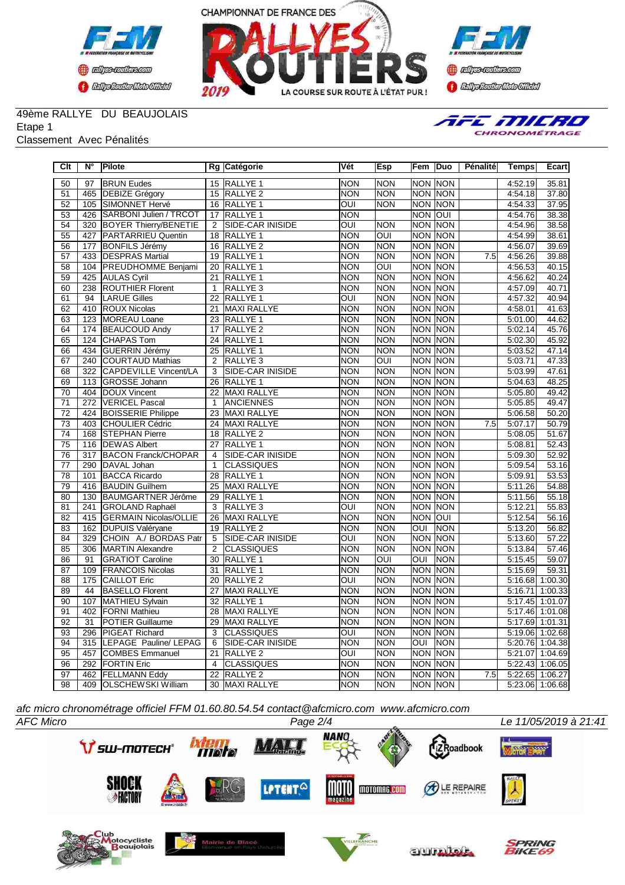





### 49ème RALLYE DU BEAUJOLAIS

Etape 1

#### Classement Avec Pénalités



| $\overline{\text{C}}$ lt | $\overline{\mathsf{N}^{\circ}}$ | Pilote                        |                 | Rg Catégorie            | Vét                     | <b>Esp</b>              | Fem                     | Duo            | Pénalité         | Temps                        | Ecart              |
|--------------------------|---------------------------------|-------------------------------|-----------------|-------------------------|-------------------------|-------------------------|-------------------------|----------------|------------------|------------------------------|--------------------|
| 50                       | 97                              | <b>BRUN Eudes</b>             | 15              | <b>RALLYE 1</b>         | <b>NON</b>              | <b>NON</b>              | <b>NON NON</b>          |                |                  | 4:52.19                      | 35.81              |
| 51                       |                                 | 465 DEBIZE Grégory            | 15              | RALLYE <sub>2</sub>     | <b>NON</b>              | <b>NON</b>              |                         | <b>NON NON</b> |                  | 4:54.18                      | 37.80              |
| $\overline{52}$          | 105                             | <b>SIMONNET Hervé</b>         | 16              | <b>RALLYE 1</b>         | $\overline{\text{out}}$ | <b>NON</b>              |                         | <b>NON NON</b> |                  | 4:54.33                      | 37.95              |
| 53                       | 426                             | <b>SARBONI Julien / TRCOT</b> | 17              | RALLYE <sub>1</sub>     | <b>NON</b>              |                         | NON OUI                 |                |                  | 4:54.76                      | 38.38              |
| 54                       |                                 | 320 BOYER Thierry/BENETIE     | 2               | SIDE-CAR INISIDE        | $\overline{\text{OUI}}$ | <b>NON</b>              |                         | <b>NON NON</b> |                  | 4:54.96                      | 38.58              |
| 55                       |                                 | 427 PARTARRIEU Quentin        | 18              | RALLYE <sub>1</sub>     | <b>NON</b>              | $\overline{\text{OUI}}$ |                         | <b>NON NON</b> |                  | 4:54.99                      | 38.61              |
| 56                       | 177                             | <b>BONFILS Jérémy</b>         | 16              | RALLYE <sub>2</sub>     | <b>NON</b>              | <b>NON</b>              |                         | <b>NON NON</b> |                  | 4:56.07                      | 39.69              |
| $\overline{57}$          |                                 | 433 DESPRAS Martial           |                 | 19 RALLYE 1             | <b>NON</b>              | <b>NON</b>              |                         | <b>NON NON</b> | $\overline{7.5}$ | 4:56.26                      | 39.88              |
| 58                       |                                 | 104 PREUDHOMME Benjami        | 20              | RALLYE <sub>1</sub>     | <b>NON</b>              | OUI                     |                         | <b>NON NON</b> |                  | 4:56.53                      | 40.15              |
| 59                       |                                 | 425 AULAS Cyril               | $\overline{21}$ | <b>RALLYE 1</b>         | <b>NON</b>              | <b>NON</b>              |                         | <b>NON NON</b> |                  | 4:56.62                      | 40.24              |
| 60                       |                                 | 238  ROUTHIER Florent         | $\mathbf{1}$    | RALLYE <sub>3</sub>     | <b>NON</b>              | <b>NON</b>              | <b>NON</b>              | <b>NON</b>     |                  | 4:57.09                      | 40.71              |
| 61                       | 94                              | <b>LARUE Gilles</b>           | 22              | RALLYE <sub>1</sub>     | OUI                     | <b>NON</b>              |                         | NON NON        |                  | 4:57.32                      | 40.94              |
| 62                       |                                 | 410 ROUX Nicolas              | 21              | <b>MAXI RALLYE</b>      | <b>NON</b>              | <b>NON</b>              |                         | NON NON        |                  | 4:58.01                      | 41.63              |
| 63                       |                                 | 123 MOREAU Loane              | 23              | RALLYE <sub>1</sub>     | <b>NON</b>              | <b>NON</b>              | <b>NON</b>              | <b>NON</b>     |                  | 5:01.00                      | 44.62              |
| 64                       |                                 | 174 BEAUCOUD Andy             | 17              | RALLYE <sub>2</sub>     | <b>NON</b>              | <b>NON</b>              |                         | <b>NON NON</b> |                  | 5:02.14                      | 45.76              |
| 65                       |                                 | 124 CHAPAS Tom                | 24              | <b>RALLYE 1</b>         | <b>NON</b>              | <b>NON</b>              | <b>NON</b>              | <b>NON</b>     |                  | 5:02.30                      | 45.92              |
| 66                       | 434                             | GUERRIN Jérémy                | 25              | RALLYE <sub>1</sub>     | <b>NON</b>              | <b>NON</b>              |                         | <b>NON NON</b> |                  | 5:03.52                      | 47.14              |
| 67                       |                                 | 240 COURTAUD Mathias          | $\overline{2}$  | RALLYE <sub>3</sub>     | <b>NON</b>              | OUI                     | <b>NON</b>              | <b>NON</b>     |                  | 5:03.71                      | 47.33              |
| 68                       |                                 | 322 CAPDEVILLE Vincent/LA     | 3               | SIDE-CAR INISIDE        | <b>NON</b>              | <b>NON</b>              |                         | <b>NON NON</b> |                  | 5:03.99                      | 47.61              |
| 69                       |                                 | 113 GROSSE Johann             | 26              | RALLYE <sub>1</sub>     | <b>NON</b>              | <b>NON</b>              |                         | <b>NON NON</b> |                  | 5:04.63                      | 48.25              |
| 70                       |                                 | 404   DOUX Vincent            | 22              | <b>MAXI RALLYE</b>      | <b>NON</b>              | <b>NON</b>              |                         | <b>NON NON</b> |                  | 5:05.80                      | 49.42              |
| 71                       | 272                             | <b>VERICEL Pascal</b>         | $\mathbf{1}$    | <b>ANCIENNES</b>        | <b>NON</b>              | <b>NON</b>              |                         | <b>NON NON</b> |                  | 5:05.85                      | 49.47              |
| $\overline{72}$          |                                 | 424 BOISSERIE Philippe        | 23              | MAXI RALLYE             | <b>NON</b>              | <b>NON</b>              |                         | <b>NON NON</b> |                  | 5:06.58                      | 50.20              |
| 73                       |                                 | 403 CHOULIER Cédric           | 24              | MAXI RALLYE             | <b>NON</b>              | <b>NON</b>              |                         | NON NON        | 7.5              | 5:07.17                      | 50.79              |
| $\overline{74}$          |                                 | 168 STEPHAN Pierre            | 18              | RALLYE <sub>2</sub>     | <b>NON</b>              | <b>NON</b>              |                         | <b>NON NON</b> |                  | 5:08.05                      | $\overline{51.67}$ |
| 75                       |                                 | 116 DEWAS Albert              | 27              | RALLYE <sub>1</sub>     | <b>NON</b>              | <b>NON</b>              | <b>NON</b>              | <b>NON</b>     |                  | 5:08.81                      | $\overline{52.43}$ |
| 76                       |                                 | 317 BACON Franck/CHOPAR       | $\overline{4}$  | <b>SIDE-CAR INISIDE</b> | <b>NON</b>              | <b>NON</b>              |                         | <b>NON NON</b> |                  | 5:09.30                      | 52.92              |
| $\overline{77}$          |                                 | 290 DAVAL Johan               | $\overline{1}$  | <b>CLASSIQUES</b>       | <b>NON</b>              | <b>NON</b>              |                         | <b>NON NON</b> |                  | 5:09.54                      | 53.16              |
| 78                       |                                 | 101 BACCA Ricardo             | 28              | <b>RALLYE 1</b>         | <b>NON</b>              | <b>NON</b>              |                         | NON NON        |                  | 5:09.91                      | 53.53              |
| 79                       |                                 | 416 BAUDIN Guilhem            | $\overline{25}$ | <b>MAXI RALLYE</b>      | <b>NON</b>              | <b>NON</b>              |                         | <b>NON NON</b> |                  | 5:11.26                      | 54.88              |
| 80                       |                                 | 130 BAUMGARTNER Jérôme        | 29              | RALLYE <sub>1</sub>     | <b>NON</b>              | <b>NON</b>              | <b>NON</b>              | <b>NON</b>     |                  | 5:11.56                      | 55.18              |
| 81                       | 241                             | <b>GROLAND Raphaël</b>        | 3               | RALLYE <sub>3</sub>     | $\overline{\text{OUI}}$ | <b>NON</b>              |                         | <b>NON NON</b> |                  | 5:12.21                      | 55.83              |
| 82                       |                                 | 415 GERMAIN Nicolas/OLLIE     | 26              | MAXI RALLYE             | <b>NON</b>              | <b>NON</b>              | <b>NON</b>              | loui           |                  | 5:12.54                      | 56.16              |
| 83                       |                                 | 162 DUPUIS Valéryane          | 19              | <b>RALLYE 2</b>         | <b>NON</b>              | <b>NON</b>              | <b>OUI</b>              | <b>NON</b>     |                  | 5:13.20                      | 56.82              |
| 84                       |                                 | 329 CHOIN A./ BORDAS Patr     | 5               | <b>SIDE-CAR INISIDE</b> | $\overline{\text{OUI}}$ | <b>NON</b>              |                         | <b>NON NON</b> |                  | 5:13.60                      | $\overline{57.22}$ |
| 85                       |                                 | 306 MARTIN Alexandre          | 2               | <b>CLASSIQUES</b>       | <b>NON</b>              | <b>NON</b>              |                         | <b>NON NON</b> |                  | 5:13.84                      | 57.46              |
| 86                       | 91                              | <b>GRATIOT Caroline</b>       | $\overline{30}$ | RALLYE <sub>1</sub>     | <b>NON</b>              | loui                    | $\overline{\text{OUI}}$ | <b>NON</b>     |                  | 5:15.45                      | 59.07              |
| 87                       |                                 | 109 FRANCOIS Nicolas          | 31              | RALLYE <sub>1</sub>     | <b>NON</b>              | <b>NON</b>              | <b>NON NON</b>          |                |                  | 5:15.69                      | 59.31              |
| $\overline{88}$          |                                 | 175 CAILLOT Eric              | $\overline{20}$ | <b>RALLYE 2</b>         | $\overline{\text{OUI}}$ | <b>NON</b>              | <b>NON NON</b>          |                |                  | 5:16.68 1:00.30              |                    |
| 89                       | 44                              | <b>BASELLO Florent</b>        | 27              | MAXI RALLYE             | <b>NON</b>              | <b>NON</b>              |                         | <b>NON NON</b> |                  | 5:16.71 1:00.33              |                    |
| 90                       | 107                             | MATHIEU Sylvain               | 32              | RALLYE <sub>1</sub>     | <b>NON</b>              | <b>NON</b>              | <b>NON</b>              | <b>NON</b>     |                  | 5:17.45 1:01.07              |                    |
| 91                       |                                 | 402   FORNI Mathieu           | 28              | <b>MAXI RALLYE</b>      | <b>NON</b>              | <b>NON</b>              | <b>NON</b>              | <b>NON</b>     |                  | $\overline{5:17.46}$ 1:01.08 |                    |
| 92                       | 31                              | <b>POTIER Guillaume</b>       | 29              | MAXI RALLYE             | <b>NON</b>              | <b>NON</b>              |                         | NON NON        |                  | 5:17.69 1:01.31              |                    |
| 93                       |                                 | 296 PIGEAT Richard            | 3               | <b>CLASSIQUES</b>       | OUI                     | <b>NON</b>              | <b>NON</b>              | <b>NON</b>     |                  | 5:19.06 1:02.68              |                    |
| 94                       |                                 | 315  LEPAGE Pauline/ LEPAG    | 6               | SIDE-CAR INISIDE        | <b>NON</b>              | <b>NON</b>              | OUI                     | <b>NON</b>     |                  | $5:20.76$ 1:04.38            |                    |
| 95                       |                                 | 457 COMBES Emmanuel           | 21              | RALLYE <sub>2</sub>     | OUI                     | <b>NON</b>              | <b>NON</b>              | <b>NON</b>     |                  | 5:21.07 1:04.69              |                    |
| 96                       |                                 | 292 FORTIN Eric               | $\overline{4}$  | <b>CLASSIQUES</b>       | <b>NON</b>              | <b>NON</b>              | <b>NON</b>              | <b>NON</b>     |                  | 5:22.43                      | 1:06.05            |
| 97                       |                                 | 462 FELLMANN Eddy             | $\overline{22}$ | <b>RALLYE 2</b>         | <b>NON</b>              | <b>NON</b>              |                         | <b>NON NON</b> | 7.5              | 5:22.65 1:06.27              |                    |
| 98                       |                                 | 409   OLSCHEWSKI William      | 30              | <b>MAXI RALLYE</b>      | <b>NON</b>              | <b>NON</b>              |                         | <b>NON NON</b> |                  | 5:23.06 1:06.68              |                    |

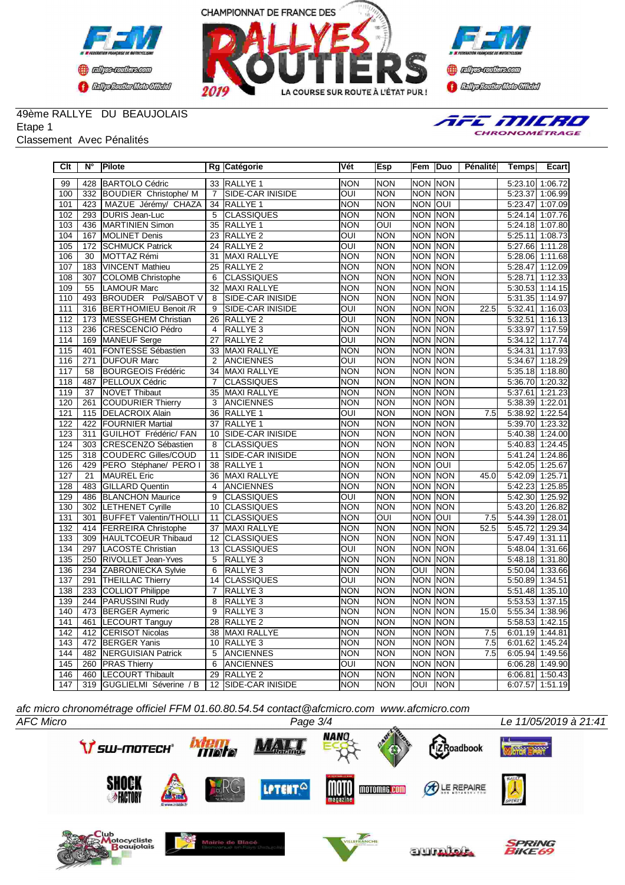



**Confederation Complementation** 

## 49ème RALLYE DU BEAUJOLAIS

Etape 1

#### Classement Avec Pénalités



| Clt              | N°               | Pilote                        |                | Rg Catégorie            | Vét        | Esp        | Fem            | Duo            | Pénalité | <b>Temps</b>    | Ecart           |
|------------------|------------------|-------------------------------|----------------|-------------------------|------------|------------|----------------|----------------|----------|-----------------|-----------------|
| 99               | 428              | <b>BARTOLO Cédric</b>         |                | 33 RALLYE 1             | <b>NON</b> | <b>NON</b> | NON NON        |                |          | 5:23.10         | 1:06.72         |
| 100              | 332              | <b>BOUDIER Christophe/ M</b>  | $\overline{7}$ | <b>SIDE-CAR INISIDE</b> | OUI        | <b>NON</b> |                | NON NON        |          | 5:23.37         | 1:06.99         |
| 101              | 423              | MAZUE Jérémy/ CHAZA           | 34             | <b>RALLYE 1</b>         | <b>NON</b> | <b>NON</b> | <b>NON OUI</b> |                |          | 5:23.47         | 1:07.09         |
| 102              | 293              | DURIS Jean-Luc                | 5              | <b>CLASSIQUES</b>       | <b>NON</b> | <b>NON</b> |                | NON NON        |          | 5:24.14         | 1:07.76         |
| 103              | 436              | MARTINIEN Simon               | 35             | RALLYE <sub>1</sub>     | <b>NON</b> | OUI        |                | NON NON        |          | 5:24.18 1:07.80 |                 |
| 104              | 167              | MOLINET Denis                 | 23             | RALLYE <sub>2</sub>     | OUI        | <b>NON</b> |                | NON NON        |          | 5:25.11 1:08.73 |                 |
| 105              | 172              | <b>SCHMUCK Patrick</b>        | 24             | <b>RALLYE 2</b>         | OUI        | <b>NON</b> | <b>NON</b>     | <b>NON</b>     |          | 5:27.66         | 1:11.28         |
| 106              | 30               | MOTTAZ Rémi                   | 31             | <b>MAXI RALLYE</b>      | <b>NON</b> | <b>NON</b> | <b>NON</b>     | <b>NON</b>     |          | 5:28.06 1:11.68 |                 |
| 107              | 183              | <b>VINCENT Mathieu</b>        | 25             | RALLYE <sub>2</sub>     | <b>NON</b> | <b>NON</b> |                | NON NON        |          | 5:28.47         | 1:12.09         |
| 108              | 307              | <b>COLOMB Christophe</b>      | 6              | <b>CLASSIQUES</b>       | <b>NON</b> | <b>NON</b> |                | <b>NON NON</b> |          | 5:28.71         | 1:12.33         |
| 109              | 55               | <b>LAMOUR Marc</b>            | 32             | MAXI RALLYE             | <b>NON</b> | <b>NON</b> |                | NON NON        |          | 5:30.53 1:14.15 |                 |
| 110              | 493              | BROUDER Pol/SABOT V           | 8              | SIDE-CAR INISIDE        | <b>NON</b> | <b>NON</b> | <b>NON</b>     | <b>NON</b>     |          | 5:31.35 1:14.97 |                 |
| 111              | 316              | BERTHOMIEU Benoit /R          | 9              | SIDE-CAR INISIDE        | OUI        | <b>NON</b> |                | <b>NON NON</b> | 22.5     | 5:32.41 1:16.03 |                 |
| 112              |                  | 173   MESSEGHEM Christian     | 26             | RALLYE <sub>2</sub>     | OUI        | <b>NON</b> | <b>NON</b>     | <b>NON</b>     |          | 5:32.51 1:16.13 |                 |
| 113              | 236              | CRESCENCIO Pédro              | 4              | RALLYE <sub>3</sub>     | <b>NON</b> | <b>NON</b> | <b>NON</b>     | <b>NON</b>     |          | 5:33.97         | 1:17.59         |
| 114              | 169              | MANEUF Serge                  | 27             | RALLYE <sub>2</sub>     | OUI        | <b>NON</b> | <b>NON</b>     | <b>NON</b>     |          | 5:34.12         | 1:17.74         |
| 115              | 401              | FONTESSE Sébastien            | 33             | MAXI RALLYE             | <b>NON</b> | <b>NON</b> |                | NON NON        |          | 5:34.31         | 1:17.93         |
| 116              | 271              | <b>DUFOUR Marc</b>            | $\overline{2}$ | <b>ANCIENNES</b>        | OUI        | <b>NON</b> | <b>NON</b>     | <b>NON</b>     |          | 5:34.67         | 1:18.29         |
| 117              | 58               | <b>BOURGEOIS Frédéric</b>     | 34             | MAXI RALLYE             | <b>NON</b> | <b>NON</b> |                | NON NON        |          | 5:35.18 1:18.80 |                 |
| 118              | 487              | PELLOUX Cédric                | $\overline{7}$ | <b>CLASSIQUES</b>       | <b>NON</b> | <b>NON</b> | <b>NON</b>     | <b>NON</b>     |          | 5:36.70 1:20.32 |                 |
| 119              | 37               | <b>NOVET Thibaut</b>          | 35             | <b>MAXI RALLYE</b>      | <b>NON</b> | <b>NON</b> |                | <b>NON NON</b> |          | 5:37.61         | 1:21.23         |
| 120              | 261              | <b>COUDURIER Thierry</b>      | 3              | <b>ANCIENNES</b>        | <b>NON</b> | <b>NON</b> |                | NON NON        |          | 5:38.39 1:22.01 |                 |
| 121              | 115              | <b>DELACROIX Alain</b>        | 36             | <b>RALLYE 1</b>         | OUI        | <b>NON</b> |                | <b>NON NON</b> | 7.5      | 5:38.92 1:22.54 |                 |
| 122              | 422              | <b>FOURNIER Martial</b>       | 37             | RALLYE <sub>1</sub>     | <b>NON</b> | <b>NON</b> | <b>NON</b>     | <b>NON</b>     |          | 5:39.70 1:23.32 |                 |
| 123              | $\overline{311}$ | GUILHOT Frédéric/ FAN         | 10             | SIDE-CAR INISIDE        | <b>NON</b> | <b>NON</b> |                | <b>NON NON</b> |          | 5:40.38 1:24.00 |                 |
| 124              | 303              | CRESCENZO Sébastien           | 8              | <b>CLASSIQUES</b>       | <b>NON</b> | <b>NON</b> |                | NON NON        |          | 5:40.83         | 1:24.45         |
| 125              | 318              | COUDERC Gilles/COUD           | 11             | SIDE-CAR INISIDE        | <b>NON</b> | <b>NON</b> |                | <b>NON NON</b> |          | 5:41.24 1:24.86 |                 |
| 126              | 429              | PERO Stéphane/ PERO I         | 38             | <b>RALLYE 1</b>         | <b>NON</b> | <b>NON</b> | <b>NON OUI</b> |                |          | 5:42.05 1:25.67 |                 |
| 127              | $\overline{21}$  | <b>MAUREL</b> Eric            | 36             | <b>MAXI RALLYE</b>      | <b>NON</b> | <b>NON</b> | <b>NON NON</b> |                | 45.0     | 5:42.09 1:25.71 |                 |
| 128              | 483              | <b>GILLARD Quentin</b>        | $\overline{4}$ | <b>ANCIENNES</b>        | <b>NON</b> | <b>NON</b> |                | <b>NON NON</b> |          | 5:42.23 1:25.85 |                 |
| 129              | 486              | <b>BLANCHON Maurice</b>       | $\overline{9}$ | <b>CLASSIQUES</b>       | OUI        | <b>NON</b> | <b>NON</b>     | <b>NON</b>     |          | 5:42.30 1:25.92 |                 |
| 130              | 302              | <b>LETHENET Cyrille</b>       | 10             | <b>CLASSIQUES</b>       | <b>NON</b> | <b>NON</b> |                | <b>NON NON</b> |          | 5:43.20 1:26.82 |                 |
| 131              | 301              | <b>BUFFET Valentin/THOLLI</b> | 11             | <b>CLASSIQUES</b>       | <b>NON</b> | OUI        | <b>NON</b>     | loui           | 7.5      | 5:44.39 1:28.01 |                 |
| 132              | 414              | <b>FERREIRA Christophe</b>    | 37             | <b>MAXI RALLYE</b>      | <b>NON</b> | <b>NON</b> |                | NON NON        | 52.5     | 5:45.72         | 1:29.34         |
| 133              | 309              | HAULTCOEUR Thibaud            | 12             | <b>CLASSIQUES</b>       | <b>NON</b> | <b>NON</b> | <b>NON</b>     | <b>INON</b>    |          | 5:47.49         | 1:31.11         |
| 134              | 297              | LACOSTE Christian             | 13             | <b>CLASSIQUES</b>       | OUI        | <b>NON</b> | <b>NON</b>     | <b>NON</b>     |          | 5:48.04         | 1:31.66         |
| 135              | 250              | <b>RIVOLLET Jean-Yves</b>     | 5              | RALLYE <sub>3</sub>     | <b>NON</b> | <b>NON</b> | <b>NON</b>     | <b>NON</b>     |          | 5:48.18         | 1:31.80         |
| 136              | 234              | <b>ZABRONIECKA Sylvie</b>     | 6              | RALLYE <sub>3</sub>     | <b>NON</b> | <b>NON</b> | OUI            | <b>NON</b>     |          | 5:50.04 1:33.66 |                 |
| 137              | 291              | <b>THEILLAC Thierry</b>       | 14             | <b>CLASSIQUES</b>       | OUI        | <b>NON</b> |                | <b>NON NON</b> |          | 5:50.89         | 1:34.51         |
| 138              | 233              | <b>COLLIOT Philippe</b>       | 7              | RALLYE <sub>3</sub>     | <b>NON</b> | <b>NON</b> |                | <b>NON NON</b> |          | 5:51.48 1:35.10 |                 |
| 139              | 244              | <b>PARUSSINI Rudy</b>         | 8              | RALLYE <sub>3</sub>     | <b>NON</b> | <b>NON</b> | <b>NON</b>     | <b>NON</b>     |          | 5:53.53         | 1:37.15         |
| $\overline{140}$ | 473              | <b>BERGER Aymeric</b>         | 9              | RALLYE <sub>3</sub>     | <b>NON</b> | <b>NON</b> | <b>NON</b>     | <b>NON</b>     | 15.0     | 5:55.34 1:38.96 |                 |
| 141              | 461              | <b>LECOURT Tanguy</b>         | 28             | RALLYE <sub>2</sub>     | <b>NON</b> | <b>NON</b> |                | NON NON        |          | 5:58.53         | 1:42.15         |
| 142              | 412              | <b>CERISOT Nicolas</b>        | 38             | MAXI RALLYE             | <b>NON</b> | <b>NON</b> |                | NON NON        | 7.5      | 6:01.19 1:44.81 |                 |
| 143              |                  | 472 BERGER Yanis              | 10             | RALLYE <sub>3</sub>     | <b>NON</b> | <b>NON</b> |                | NON NON        | 7.5      | 6:01.62 1:45.24 |                 |
| 144              | 482              | <b>NERGUISIAN Patrick</b>     | 5              | <b>ANCIENNES</b>        | <b>NON</b> | <b>NON</b> |                | <b>NON NON</b> | 7.5      | 6:05.94 1:49.56 |                 |
| 145              | 260              | <b>PRAS Thierry</b>           | 6              | <b>ANCIENNES</b>        | OUI        | <b>NON</b> |                | <b>NON NON</b> |          | 6:06.28         | 1:49.90         |
| 146              |                  | 460 LECOURT Thibault          | 29             | <b>RALLYE 2</b>         | <b>NON</b> | <b>NON</b> |                | <b>NON NON</b> |          | 6:06.81 1:50.43 |                 |
| 147              |                  | 319 GUGLIELMI Séverine / B    |                | 12 SIDE-CAR INISIDE     | <b>NON</b> | <b>NON</b> | l              | <b>NON</b>     |          |                 | 6:07.57 1:51.19 |